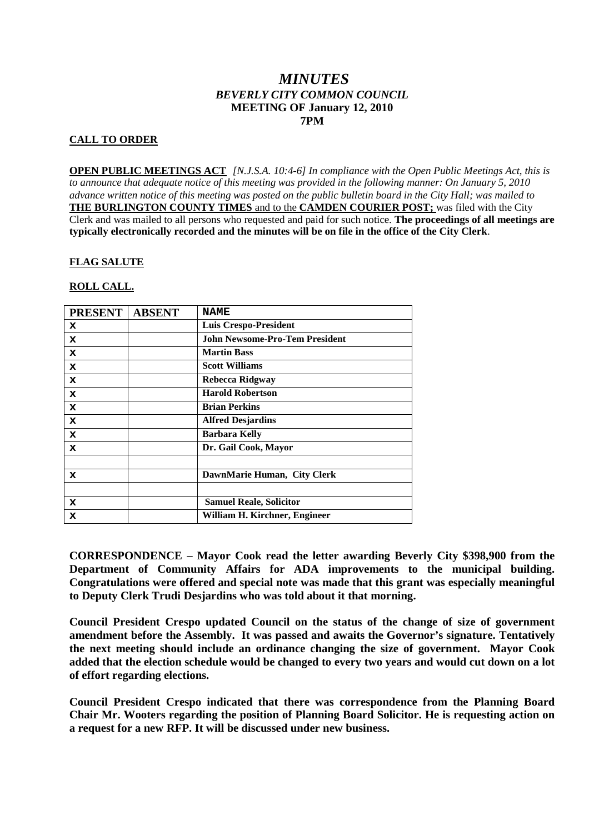# *MINUTES BEVERLY CITY COMMON COUNCIL* **MEETING OF January 12, 2010 7PM**

## **CALL TO ORDER**

**OPEN PUBLIC MEETINGS ACT** *[N.J.S.A. 10:4-6] In compliance with the Open Public Meetings Act, this is to announce that adequate notice of this meeting was provided in the following manner: On January 5, 2010 advance written notice of this meeting was posted on the public bulletin board in the City Hall; was mailed to* **THE BURLINGTON COUNTY TIMES** and to the **CAMDEN COURIER POST;** was filed with the City Clerk and was mailed to all persons who requested and paid for such notice. **The proceedings of all meetings are typically electronically recorded and the minutes will be on file in the office of the City Clerk**.

#### **FLAG SALUTE**

#### **ROLL CALL.**

| <b>PRESENT</b> | <b>ABSENT</b> | <b>NAME</b>                           |
|----------------|---------------|---------------------------------------|
| x              |               | <b>Luis Crespo-President</b>          |
| x              |               | <b>John Newsome-Pro-Tem President</b> |
| x              |               | <b>Martin Bass</b>                    |
| x              |               | <b>Scott Williams</b>                 |
| x              |               | Rebecca Ridgway                       |
| x              |               | <b>Harold Robertson</b>               |
| x              |               | <b>Brian Perkins</b>                  |
| x              |               | <b>Alfred Desjardins</b>              |
| x              |               | <b>Barbara Kelly</b>                  |
| x              |               | Dr. Gail Cook, Mayor                  |
|                |               |                                       |
| x              |               | DawnMarie Human, City Clerk           |
|                |               |                                       |
| x              |               | <b>Samuel Reale, Solicitor</b>        |
| x              |               | William H. Kirchner, Engineer         |

**CORRESPONDENCE – Mayor Cook read the letter awarding Beverly City \$398,900 from the Department of Community Affairs for ADA improvements to the municipal building. Congratulations were offered and special note was made that this grant was especially meaningful to Deputy Clerk Trudi Desjardins who was told about it that morning.**

**Council President Crespo updated Council on the status of the change of size of government amendment before the Assembly. It was passed and awaits the Governor's signature. Tentatively the next meeting should include an ordinance changing the size of government. Mayor Cook added that the election schedule would be changed to every two years and would cut down on a lot of effort regarding elections.**

**Council President Crespo indicated that there was correspondence from the Planning Board Chair Mr. Wooters regarding the position of Planning Board Solicitor. He is requesting action on a request for a new RFP. It will be discussed under new business.**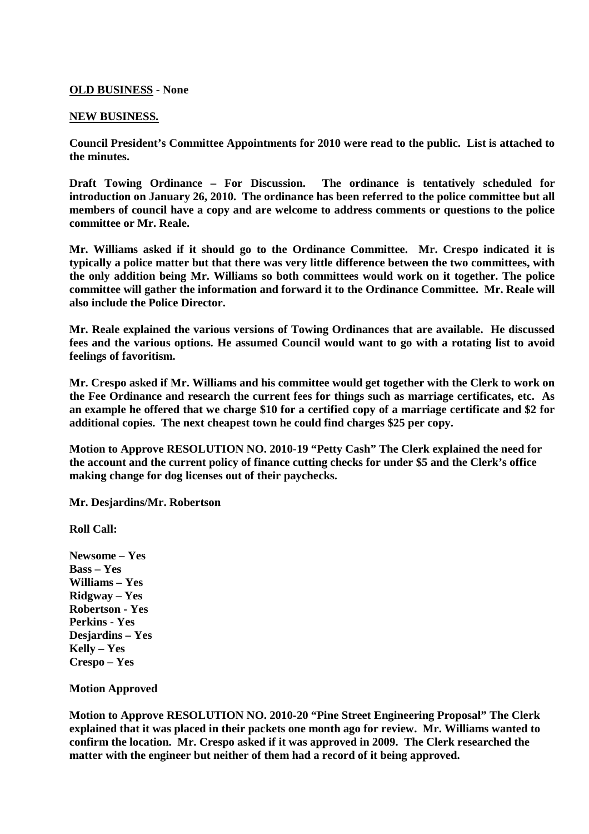## **OLD BUSINESS - None**

#### **NEW BUSINESS.**

**Council President's Committee Appointments for 2010 were read to the public. List is attached to the minutes.**

**Draft Towing Ordinance – For Discussion. The ordinance is tentatively scheduled for introduction on January 26, 2010. The ordinance has been referred to the police committee but all members of council have a copy and are welcome to address comments or questions to the police committee or Mr. Reale.**

**Mr. Williams asked if it should go to the Ordinance Committee. Mr. Crespo indicated it is typically a police matter but that there was very little difference between the two committees, with the only addition being Mr. Williams so both committees would work on it together. The police committee will gather the information and forward it to the Ordinance Committee. Mr. Reale will also include the Police Director.**

**Mr. Reale explained the various versions of Towing Ordinances that are available. He discussed fees and the various options. He assumed Council would want to go with a rotating list to avoid feelings of favoritism.**

**Mr. Crespo asked if Mr. Williams and his committee would get together with the Clerk to work on the Fee Ordinance and research the current fees for things such as marriage certificates, etc. As an example he offered that we charge \$10 for a certified copy of a marriage certificate and \$2 for additional copies. The next cheapest town he could find charges \$25 per copy.**

**Motion to Approve RESOLUTION NO. 2010-19 "Petty Cash" The Clerk explained the need for the account and the current policy of finance cutting checks for under \$5 and the Clerk's office making change for dog licenses out of their paychecks.**

**Mr. Desjardins/Mr. Robertson**

**Roll Call:**

**Newsome – Yes Bass – Yes Williams – Yes Ridgway – Yes Robertson - Yes Perkins - Yes Desjardins – Yes Kelly – Yes Crespo – Yes**

**Motion Approved**

**Motion to Approve RESOLUTION NO. 2010-20 "Pine Street Engineering Proposal" The Clerk explained that it was placed in their packets one month ago for review. Mr. Williams wanted to confirm the location. Mr. Crespo asked if it was approved in 2009. The Clerk researched the matter with the engineer but neither of them had a record of it being approved.**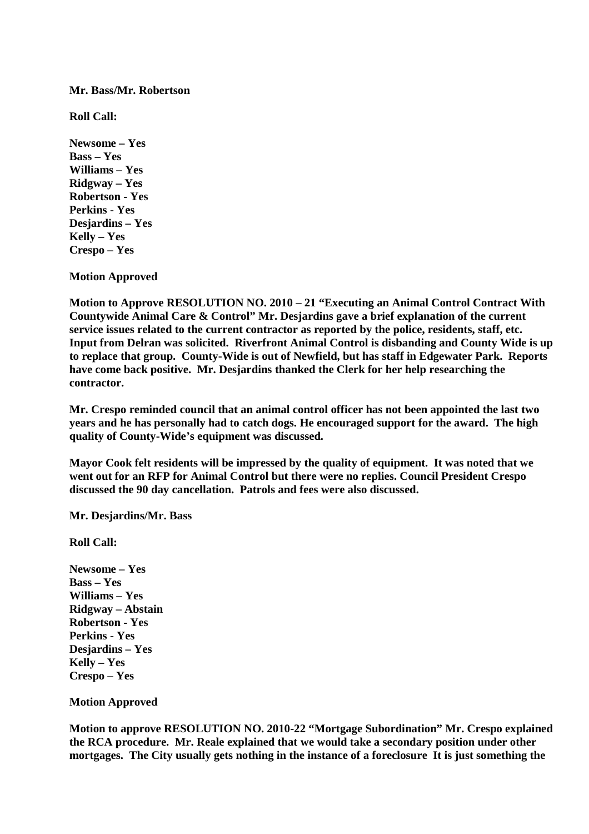**Mr. Bass/Mr. Robertson**

**Roll Call:**

**Newsome – Yes Bass – Yes Williams – Yes Ridgway – Yes Robertson - Yes Perkins - Yes Desjardins – Yes Kelly – Yes Crespo – Yes**

**Motion Approved**

**Motion to Approve RESOLUTION NO. 2010 – 21 "Executing an Animal Control Contract With Countywide Animal Care & Control" Mr. Desjardins gave a brief explanation of the current service issues related to the current contractor as reported by the police, residents, staff, etc. Input from Delran was solicited. Riverfront Animal Control is disbanding and County Wide is up to replace that group. County-Wide is out of Newfield, but has staff in Edgewater Park. Reports have come back positive. Mr. Desjardins thanked the Clerk for her help researching the contractor.**

**Mr. Crespo reminded council that an animal control officer has not been appointed the last two years and he has personally had to catch dogs. He encouraged support for the award. The high quality of County-Wide's equipment was discussed.**

**Mayor Cook felt residents will be impressed by the quality of equipment. It was noted that we went out for an RFP for Animal Control but there were no replies. Council President Crespo discussed the 90 day cancellation. Patrols and fees were also discussed.**

**Mr. Desjardins/Mr. Bass**

**Roll Call:**

**Newsome – Yes Bass – Yes Williams – Yes Ridgway – Abstain Robertson - Yes Perkins - Yes Desjardins – Yes Kelly – Yes Crespo – Yes**

**Motion Approved**

**Motion to approve RESOLUTION NO. 2010-22 "Mortgage Subordination" Mr. Crespo explained the RCA procedure. Mr. Reale explained that we would take a secondary position under other mortgages. The City usually gets nothing in the instance of a foreclosure It is just something the**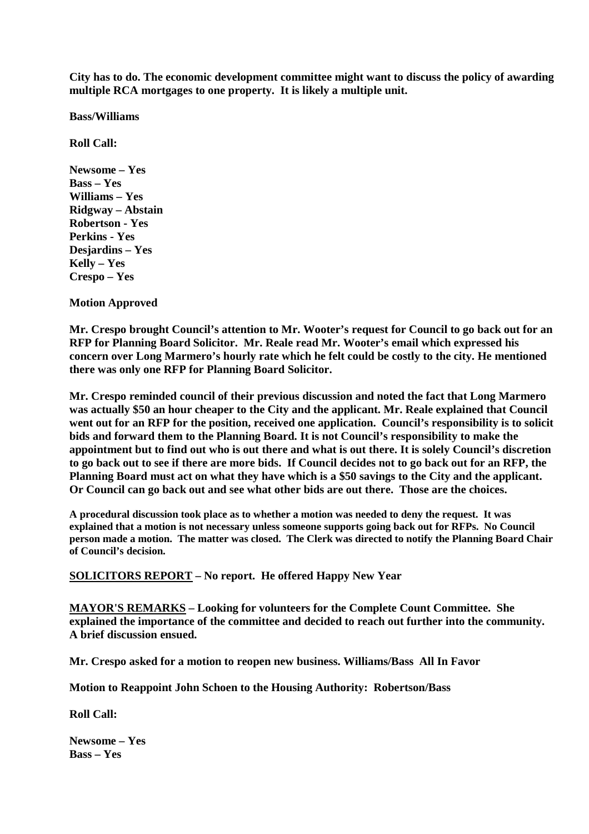**City has to do. The economic development committee might want to discuss the policy of awarding multiple RCA mortgages to one property. It is likely a multiple unit.**

**Bass/Williams**

**Roll Call:**

**Newsome – Yes Bass – Yes Williams – Yes Ridgway – Abstain Robertson - Yes Perkins - Yes Desjardins – Yes Kelly – Yes Crespo – Yes**

**Motion Approved**

**Mr. Crespo brought Council's attention to Mr. Wooter's request for Council to go back out for an RFP for Planning Board Solicitor. Mr. Reale read Mr. Wooter's email which expressed his concern over Long Marmero's hourly rate which he felt could be costly to the city. He mentioned there was only one RFP for Planning Board Solicitor.**

**Mr. Crespo reminded council of their previous discussion and noted the fact that Long Marmero was actually \$50 an hour cheaper to the City and the applicant. Mr. Reale explained that Council went out for an RFP for the position, received one application. Council's responsibility is to solicit bids and forward them to the Planning Board. It is not Council's responsibility to make the appointment but to find out who is out there and what is out there. It is solely Council's discretion to go back out to see if there are more bids. If Council decides not to go back out for an RFP, the Planning Board must act on what they have which is a \$50 savings to the City and the applicant. Or Council can go back out and see what other bids are out there. Those are the choices.**

**A procedural discussion took place as to whether a motion was needed to deny the request. It was explained that a motion is not necessary unless someone supports going back out for RFPs. No Council person made a motion. The matter was closed. The Clerk was directed to notify the Planning Board Chair of Council's decision.**

**SOLICITORS REPORT – No report. He offered Happy New Year**

**MAYOR'S REMARKS – Looking for volunteers for the Complete Count Committee. She explained the importance of the committee and decided to reach out further into the community. A brief discussion ensued.**

**Mr. Crespo asked for a motion to reopen new business. Williams/Bass All In Favor**

**Motion to Reappoint John Schoen to the Housing Authority: Robertson/Bass**

**Roll Call:**

**Newsome – Yes Bass – Yes**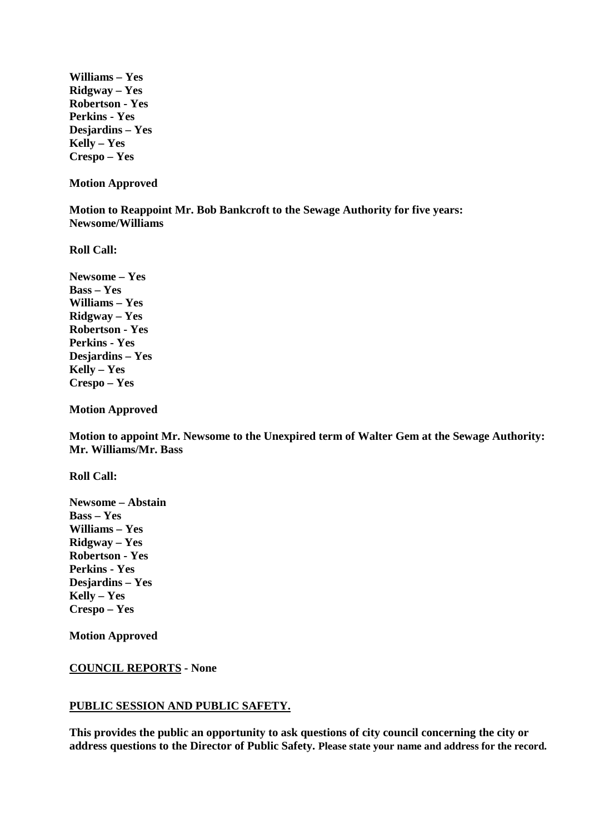**Williams – Yes Ridgway – Yes Robertson - Yes Perkins - Yes Desjardins – Yes Kelly – Yes Crespo – Yes**

**Motion Approved**

**Motion to Reappoint Mr. Bob Bankcroft to the Sewage Authority for five years: Newsome/Williams**

**Roll Call:**

**Newsome – Yes Bass – Yes Williams – Yes Ridgway – Yes Robertson - Yes Perkins - Yes Desjardins – Yes Kelly – Yes Crespo – Yes**

**Motion Approved**

**Motion to appoint Mr. Newsome to the Unexpired term of Walter Gem at the Sewage Authority: Mr. Williams/Mr. Bass**

**Roll Call:**

**Newsome – Abstain Bass – Yes Williams – Yes Ridgway – Yes Robertson - Yes Perkins - Yes Desjardins – Yes Kelly – Yes Crespo – Yes**

**Motion Approved**

## **COUNCIL REPORTS - None**

## **PUBLIC SESSION AND PUBLIC SAFETY.**

**This provides the public an opportunity to ask questions of city council concerning the city or address questions to the Director of Public Safety. Please state your name and address for the record.**